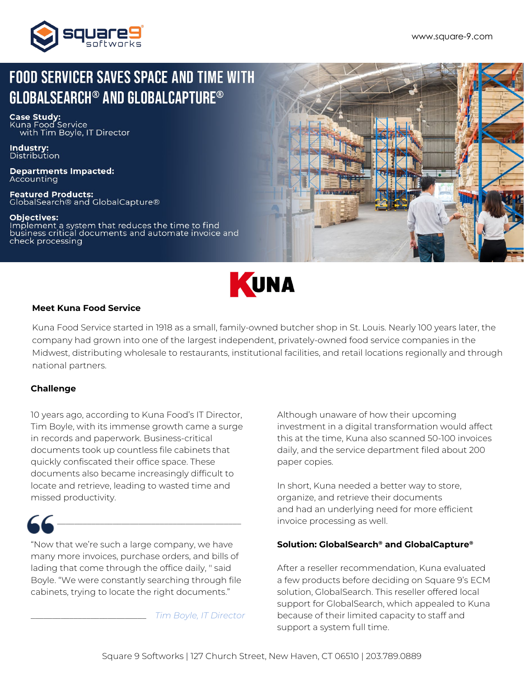

# **FOOD SERVICER SAVES SPACE AND TIME WITH GLOBALSEARCH<sup>®</sup> AND GLOBALCAPTURE<sup>®</sup>**

**Case Study:**<br>Kuna Food Service with Tim Boyle, IT Director

**Industry:**<br>Distribution

**Departments Impacted:** Accounting

**Featured Products:** ClobalSearch® and GlobalCapture®

**Objectives:** Implement a system that reduces the time to find business critical documents and automate invoice and check processing





### **Meet Kuna Food Service**

Kuna Food Service started in 1918 as a small, family-owned butcher shop in St. Louis. Nearly 100 years later, the company had grown into one of the largest independent, privately-owned food service companies in the Midwest, distributing wholesale to restaurants, institutional facilities, and retail locations regionally and through national partners.

### **Challenge**

10 years ago, according to Kuna Food's IT Director, Tim Boyle, with its immense growth came a surge in records and paperwork. Business-critical documents took up countless file cabinets that quickly confiscated their office space. These documents also became increasingly difficult to locate and retrieve, leading to wasted time and missed productivity.

"Now that we're such a large company, we have many more invoices, purchase orders, and bills of lading that come through the office daily, '' said Boyle. "We were constantly searching through file cabinets, trying to locate the right documents."

\_\_\_\_\_\_\_\_\_\_\_\_\_\_\_\_\_\_\_\_\_\_\_\_\_\_\_\_\_\_\_\_\_\_\_\_\_\_\_\_\_\_\_

\_\_\_\_\_\_\_\_\_\_\_\_\_\_\_\_\_\_\_\_\_\_\_\_\_\_\_ *Tim Boyle, IT Director*

Although unaware of how their upcoming investment in a digital transformation would affect this at the time, Kuna also scanned 50-100 invoices daily, and the service department filed about 200 paper copies.

In short, Kuna needed a better way to store, organize, and retrieve their documents and had an underlying need for more efficient invoice processing as well.

### **Solution: GlobalSearch® and GlobalCapture®**

After a reseller recommendation, Kuna evaluated a few products before deciding on Square 9's ECM solution, GlobalSearch. This reseller offered local support for GlobalSearch, which appealed to Kuna because of their limited capacity to staff and support a system full time.